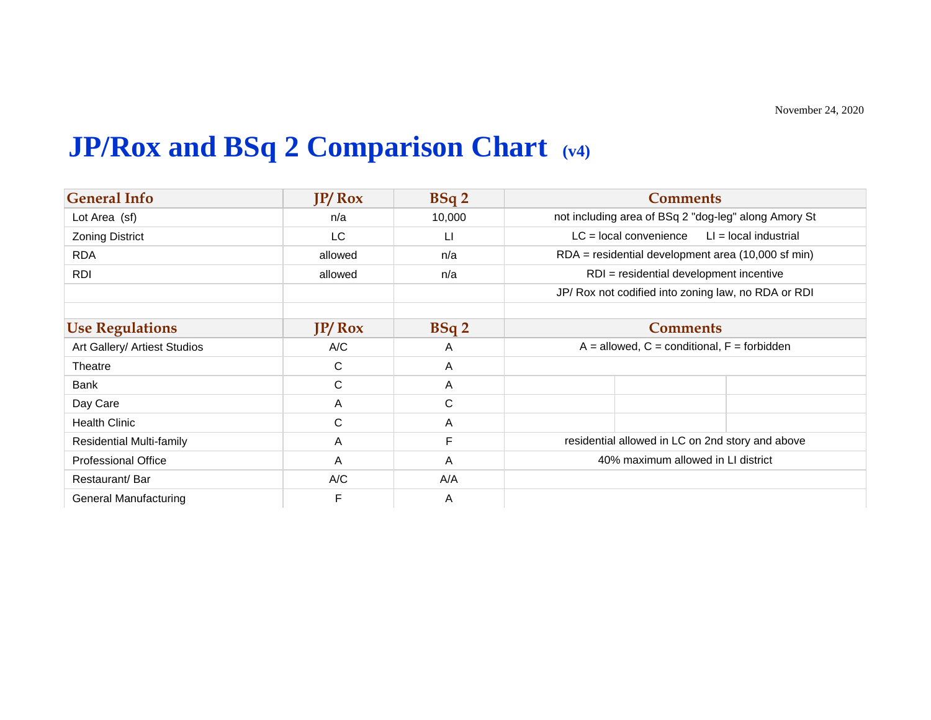## **JP/Rox and BSq 2 Comparison Chart (v4)**

| <b>General Info</b>             | $IP/$ Rox | BSq2           | <b>Comments</b>                                      |
|---------------------------------|-----------|----------------|------------------------------------------------------|
| Lot Area (sf)                   | n/a       | 10,000         | not including area of BSq 2 "dog-leg" along Amory St |
| <b>Zoning District</b>          | <b>LC</b> | $\mathsf{L}$   | $LC = local convenience$<br>$LI = local$ industrial  |
| <b>RDA</b>                      | allowed   | n/a            | RDA = residential development area (10,000 sf min)   |
| <b>RDI</b>                      | allowed   | n/a            | RDI = residential development incentive              |
|                                 |           |                | JP/ Rox not codified into zoning law, no RDA or RDI  |
| <b>Use Regulations</b>          | $IP/$ Rox | BSq2           | <b>Comments</b>                                      |
| Art Gallery/ Artiest Studios    | A/C       | A              | $A =$ allowed, $C =$ conditional, $F =$ forbidden    |
| Theatre                         | C         | $\mathsf{A}$   |                                                      |
| Bank                            | C         | $\overline{A}$ |                                                      |
| Day Care                        | A         | C              |                                                      |
| <b>Health Clinic</b>            | C         | A              |                                                      |
| <b>Residential Multi-family</b> | A         | F              | residential allowed in LC on 2nd story and above     |
| <b>Professional Office</b>      | A         | $\mathsf{A}$   | 40% maximum allowed in LI district                   |
| Restaurant/Bar                  | A/C       | A/A            |                                                      |
| <b>General Manufacturing</b>    | F         | A              |                                                      |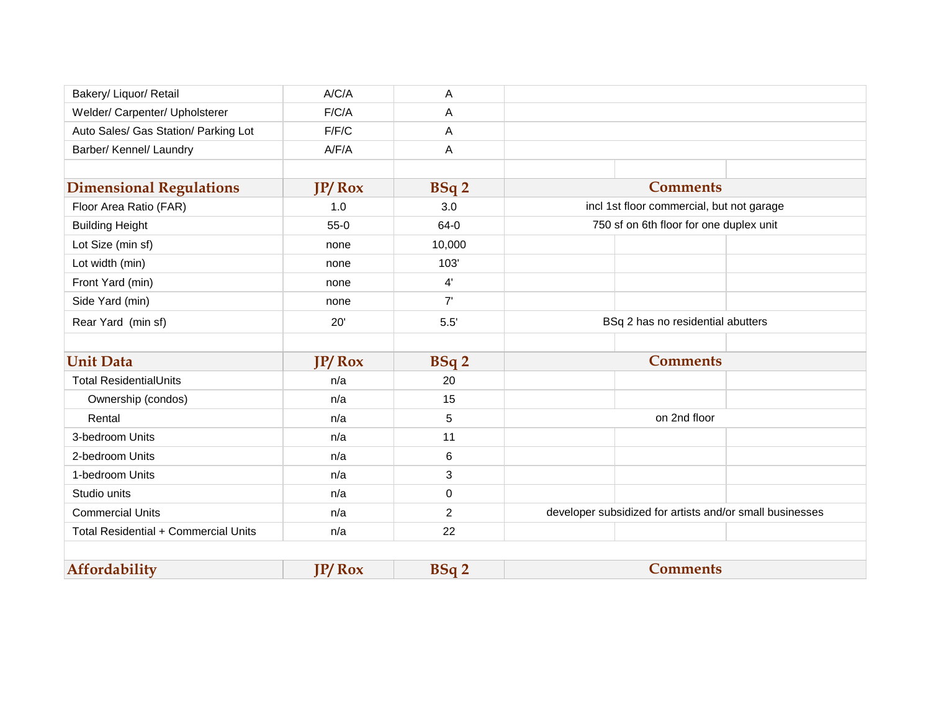| Bakery/ Liquor/ Retail               | A/C/A  | A              |                                                          |
|--------------------------------------|--------|----------------|----------------------------------------------------------|
| Welder/ Carpenter/ Upholsterer       | F/C/A  | A              |                                                          |
| Auto Sales/ Gas Station/ Parking Lot | F/F/C  | A              |                                                          |
| Barber/ Kennel/ Laundry              | A/F/A  | A              |                                                          |
|                                      |        |                |                                                          |
| <b>Dimensional Regulations</b>       | JP/Rox | <b>BSq2</b>    | <b>Comments</b>                                          |
| Floor Area Ratio (FAR)               | 1.0    | 3.0            | incl 1st floor commercial, but not garage                |
| <b>Building Height</b>               | $55-0$ | 64-0           | 750 sf on 6th floor for one duplex unit                  |
| Lot Size (min sf)                    | none   | 10,000         |                                                          |
| Lot width (min)                      | none   | 103'           |                                                          |
| Front Yard (min)                     | none   | 4'             |                                                          |
| Side Yard (min)                      | none   | 7'             |                                                          |
| Rear Yard (min sf)                   | 20'    | $5.5'$         | BSq 2 has no residential abutters                        |
|                                      |        |                |                                                          |
| <b>Unit Data</b>                     | IP/Rox | BSq 2          | <b>Comments</b>                                          |
| <b>Total ResidentialUnits</b>        | n/a    | 20             |                                                          |
| Ownership (condos)                   | n/a    | 15             |                                                          |
| Rental                               | n/a    | 5              | on 2nd floor                                             |
| 3-bedroom Units                      | n/a    | 11             |                                                          |
| 2-bedroom Units                      | n/a    | 6              |                                                          |
| 1-bedroom Units                      | n/a    | 3              |                                                          |
| Studio units                         | n/a    | $\mathbf 0$    |                                                          |
| <b>Commercial Units</b>              | n/a    | $\overline{2}$ | developer subsidized for artists and/or small businesses |
| Total Residential + Commercial Units | n/a    | 22             |                                                          |
|                                      |        |                |                                                          |
| Affordability                        | JP/Rox | <b>BSq2</b>    | <b>Comments</b>                                          |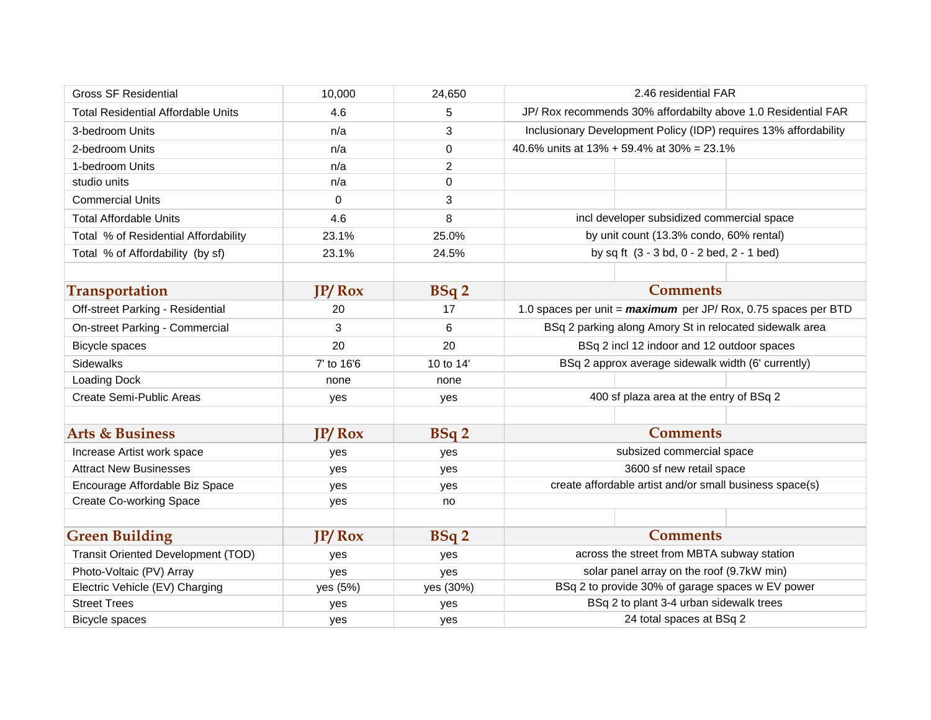| <b>Gross SF Residential</b>               | 10,000     | 24,650      | 2.46 residential FAR                                             |
|-------------------------------------------|------------|-------------|------------------------------------------------------------------|
| <b>Total Residential Affordable Units</b> | 4.6        | 5           | JP/ Rox recommends 30% affordabilty above 1.0 Residential FAR    |
| 3-bedroom Units                           | n/a        | 3           | Inclusionary Development Policy (IDP) requires 13% affordability |
| 2-bedroom Units                           | n/a        | 0           | 40.6% units at 13% + 59.4% at 30% = 23.1%                        |
| 1-bedroom Units                           | n/a        | 2           |                                                                  |
| studio units                              | n/a        | 0           |                                                                  |
| <b>Commercial Units</b>                   | $\Omega$   | 3           |                                                                  |
| <b>Total Affordable Units</b>             | 4.6        | 8           | incl developer subsidized commercial space                       |
| Total % of Residential Affordability      | 23.1%      | 25.0%       | by unit count (13.3% condo, 60% rental)                          |
| Total % of Affordability (by sf)          | 23.1%      | 24.5%       | by sq ft (3 - 3 bd, 0 - 2 bed, 2 - 1 bed)                        |
|                                           |            |             |                                                                  |
| <b>Transportation</b>                     | $IP/$ Rox  | BSq2        | <b>Comments</b>                                                  |
| Off-street Parking - Residential          | 20         | 17          | 1.0 spaces per unit = maximum per JP/Rox, 0.75 spaces per BTD    |
| On-street Parking - Commercial            | 3          | 6           | BSq 2 parking along Amory St in relocated sidewalk area          |
| <b>Bicycle spaces</b>                     | 20         | 20          | BSq 2 incl 12 indoor and 12 outdoor spaces                       |
| Sidewalks                                 | 7' to 16'6 | 10 to 14'   | BSq 2 approx average sidewalk width (6' currently)               |
| Loading Dock                              | none       | none        |                                                                  |
| Create Semi-Public Areas                  | yes        | yes         | 400 sf plaza area at the entry of BSq 2                          |
|                                           |            |             |                                                                  |
| <b>Arts &amp; Business</b>                | IP/Rox     | <b>BSq2</b> | <b>Comments</b>                                                  |
| Increase Artist work space                | yes        | yes         | subsized commercial space                                        |
| <b>Attract New Businesses</b>             | yes        | yes         | 3600 sf new retail space                                         |
| Encourage Affordable Biz Space            | yes        | yes         | create affordable artist and/or small business space(s)          |
| <b>Create Co-working Space</b>            | yes        | no          |                                                                  |
|                                           |            |             |                                                                  |
| <b>Green Building</b>                     | $IP/$ Rox  | BSq2        | <b>Comments</b>                                                  |
| Transit Oriented Development (TOD)        | yes        | yes         | across the street from MBTA subway station                       |
| Photo-Voltaic (PV) Array                  | yes        | yes         | solar panel array on the roof (9.7kW min)                        |
| Electric Vehicle (EV) Charging            | yes (5%)   | yes (30%)   | BSq 2 to provide 30% of garage spaces w EV power                 |
| <b>Street Trees</b>                       | yes        | yes         | BSq 2 to plant 3-4 urban sidewalk trees                          |
| Bicycle spaces                            | yes        | yes         | 24 total spaces at BSq 2                                         |